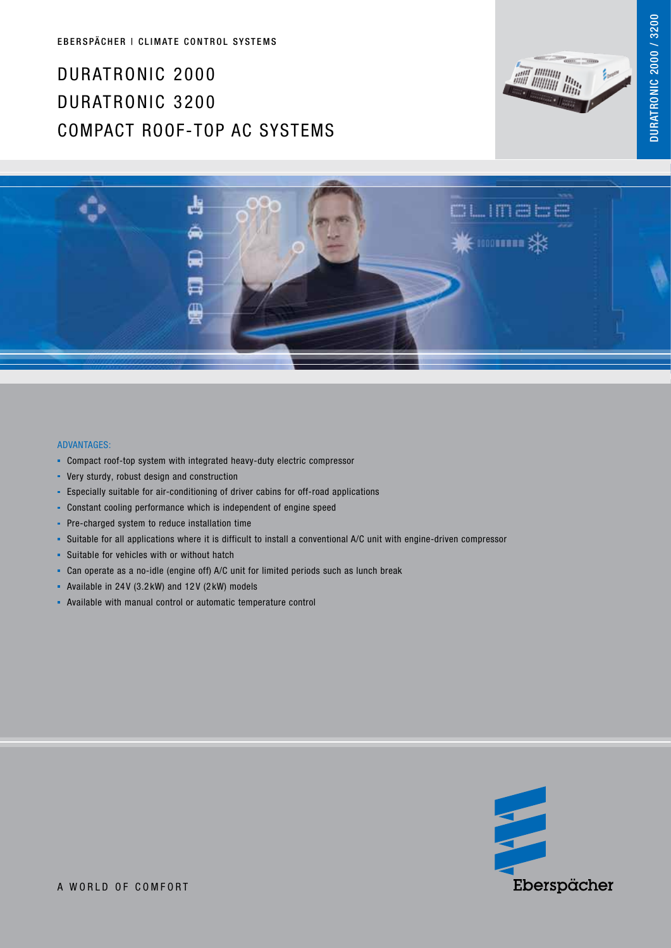## Duratronic 2000 Duratronic 3200 COMPACT ROOF-top AC Systems







## Advantages:

- Compact roof-top system with integrated heavy-duty electric compressor
- **•** Very sturdy, robust design and construction
- Especially suitable for air-conditioning of driver cabins for off-road applications
- Constant cooling performance which is independent of engine speed
- **Pre-charged system to reduce installation time**
- Suitable for all applications where it is difficult to install a conventional A/C unit with engine-driven compressor
- **Suitable for vehicles with or without hatch**
- Can operate as a no-idle (engine off) A/C unit for limited periods such as lunch break
- Available in 24 V (3.2 kW) and 12 V (2 kW) models
- Available with manual control or automatic temperature control